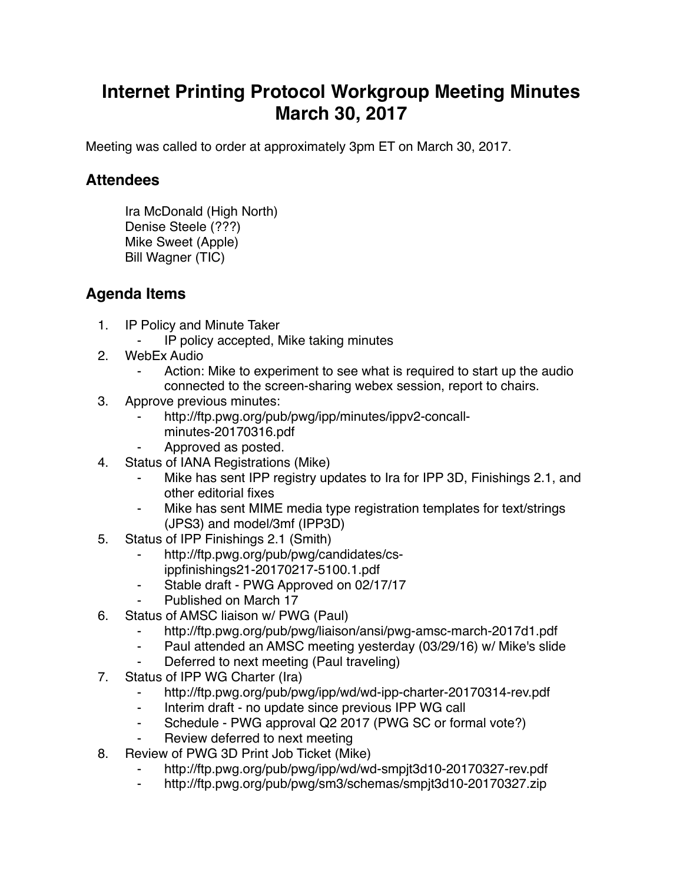## **Internet Printing Protocol Workgroup Meeting Minutes March 30, 2017**

Meeting was called to order at approximately 3pm ET on March 30, 2017.

## **Attendees**

Ira McDonald (High North) Denise Steele (???) Mike Sweet (Apple) Bill Wagner (TIC)

## **Agenda Items**

- 1. IP Policy and Minute Taker
	- IP policy accepted, Mike taking minutes
- 2. WebEx Audio
	- Action: Mike to experiment to see what is required to start up the audio connected to the screen-sharing webex session, report to chairs.
- 3. Approve previous minutes:
	- http://ftp.pwg.org/pub/pwg/ipp/minutes/ippv2-concallminutes-20170316.pdf
	- Approved as posted.
- 4. Status of IANA Registrations (Mike)
	- Mike has sent IPP registry updates to Ira for IPP 3D, Finishings 2.1, and other editorial fixes
	- ⁃ Mike has sent MIME media type registration templates for text/strings (JPS3) and model/3mf (IPP3D)
- 5. Status of IPP Finishings 2.1 (Smith)
	- http://ftp.pwg.org/pub/pwg/candidates/cs-
	- ippfinishings21-20170217-5100.1.pdf
	- ⁃ Stable draft PWG Approved on 02/17/17
	- ⁃ Published on March 17
- 6. Status of AMSC liaison w/ PWG (Paul)
	- ⁃ http://ftp.pwg.org/pub/pwg/liaison/ansi/pwg-amsc-march-2017d1.pdf
	- ⁃ Paul attended an AMSC meeting yesterday (03/29/16) w/ Mike's slide
	- Deferred to next meeting (Paul traveling)
- 7. Status of IPP WG Charter (Ira)
	- http://ftp.pwg.org/pub/pwg/ipp/wd/wd-ipp-charter-20170314-rev.pdf
	- ⁃ Interim draft no update since previous IPP WG call
	- ⁃ Schedule PWG approval Q2 2017 (PWG SC or formal vote?)
	- Review deferred to next meeting
- 8. Review of PWG 3D Print Job Ticket (Mike)
	- http://ftp.pwg.org/pub/pwg/ipp/wd/wd-smpjt3d10-20170327-rev.pdf
	- ⁃ http://ftp.pwg.org/pub/pwg/sm3/schemas/smpjt3d10-20170327.zip